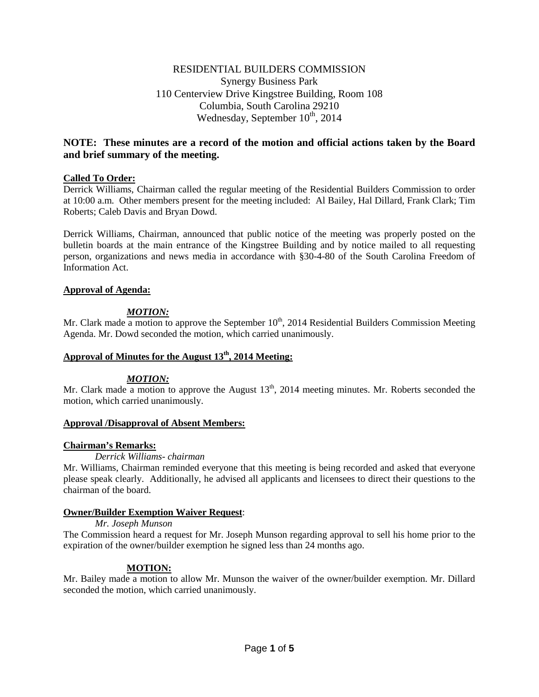# RESIDENTIAL BUILDERS COMMISSION Synergy Business Park 110 Centerview Drive Kingstree Building, Room 108 Columbia, South Carolina 29210 Wednesday, September  $10^{th}$ , 2014

# **NOTE: These minutes are a record of the motion and official actions taken by the Board and brief summary of the meeting.**

## **Called To Order:**

Derrick Williams, Chairman called the regular meeting of the Residential Builders Commission to order at 10:00 a.m. Other members present for the meeting included: Al Bailey, Hal Dillard, Frank Clark; Tim Roberts; Caleb Davis and Bryan Dowd.

Derrick Williams, Chairman, announced that public notice of the meeting was properly posted on the bulletin boards at the main entrance of the Kingstree Building and by notice mailed to all requesting person, organizations and news media in accordance with §30-4-80 of the South Carolina Freedom of Information Act.

## **Approval of Agenda:**

# *MOTION:*

Mr. Clark made a motion to approve the September  $10<sup>th</sup>$ , 2014 Residential Builders Commission Meeting Agenda. Mr. Dowd seconded the motion, which carried unanimously.

# **Approval of Minutes for the August 13th, 2014 Meeting:**

## *MOTION:*

Mr. Clark made a motion to approve the August  $13<sup>th</sup>$ , 2014 meeting minutes. Mr. Roberts seconded the motion, which carried unanimously.

## **Approval /Disapproval of Absent Members:**

# **Chairman's Remarks:**

## *Derrick Williams- chairman*

Mr. Williams, Chairman reminded everyone that this meeting is being recorded and asked that everyone please speak clearly. Additionally, he advised all applicants and licensees to direct their questions to the chairman of the board.

## **Owner/Builder Exemption Waiver Request**:

## *Mr. Joseph Munson*

The Commission heard a request for Mr. Joseph Munson regarding approval to sell his home prior to the expiration of the owner/builder exemption he signed less than 24 months ago.

# **MOTION:**

Mr. Bailey made a motion to allow Mr. Munson the waiver of the owner/builder exemption. Mr. Dillard seconded the motion, which carried unanimously.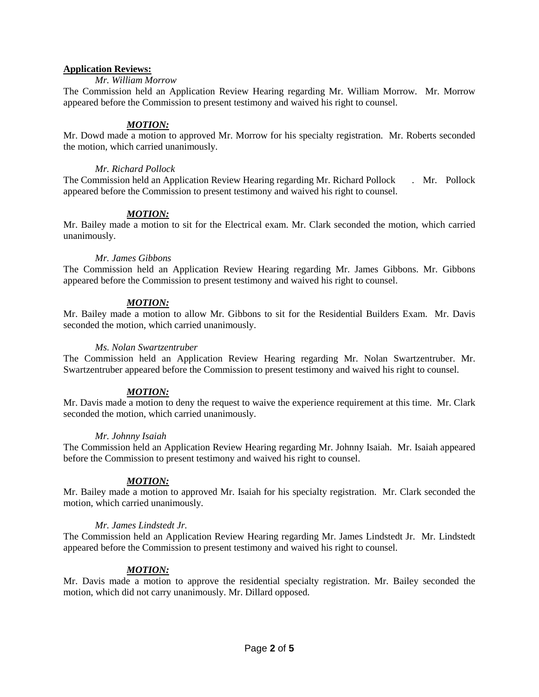## **Application Reviews:**

## *Mr. William Morrow*

The Commission held an Application Review Hearing regarding Mr. William Morrow. Mr. Morrow appeared before the Commission to present testimony and waived his right to counsel.

## *MOTION:*

Mr. Dowd made a motion to approved Mr. Morrow for his specialty registration. Mr. Roberts seconded the motion, which carried unanimously.

## *Mr. Richard Pollock*

The Commission held an Application Review Hearing regarding Mr. Richard Pollock . Mr. Pollock appeared before the Commission to present testimony and waived his right to counsel.

# *MOTION:*

Mr. Bailey made a motion to sit for the Electrical exam. Mr. Clark seconded the motion, which carried unanimously.

## *Mr. James Gibbons*

The Commission held an Application Review Hearing regarding Mr. James Gibbons. Mr. Gibbons appeared before the Commission to present testimony and waived his right to counsel.

# *MOTION:*

Mr. Bailey made a motion to allow Mr. Gibbons to sit for the Residential Builders Exam. Mr. Davis seconded the motion, which carried unanimously.

## *Ms. Nolan Swartzentruber*

The Commission held an Application Review Hearing regarding Mr. Nolan Swartzentruber. Mr. Swartzentruber appeared before the Commission to present testimony and waived his right to counsel.

# *MOTION:*

Mr. Davis made a motion to deny the request to waive the experience requirement at this time. Mr. Clark seconded the motion, which carried unanimously.

## *Mr. Johnny Isaiah*

The Commission held an Application Review Hearing regarding Mr. Johnny Isaiah. Mr. Isaiah appeared before the Commission to present testimony and waived his right to counsel.

# *MOTION:*

Mr. Bailey made a motion to approved Mr. Isaiah for his specialty registration. Mr. Clark seconded the motion, which carried unanimously.

# *Mr. James Lindstedt Jr.*

The Commission held an Application Review Hearing regarding Mr. James Lindstedt Jr. Mr. Lindstedt appeared before the Commission to present testimony and waived his right to counsel.

# *MOTION:*

Mr. Davis made a motion to approve the residential specialty registration. Mr. Bailey seconded the motion, which did not carry unanimously. Mr. Dillard opposed.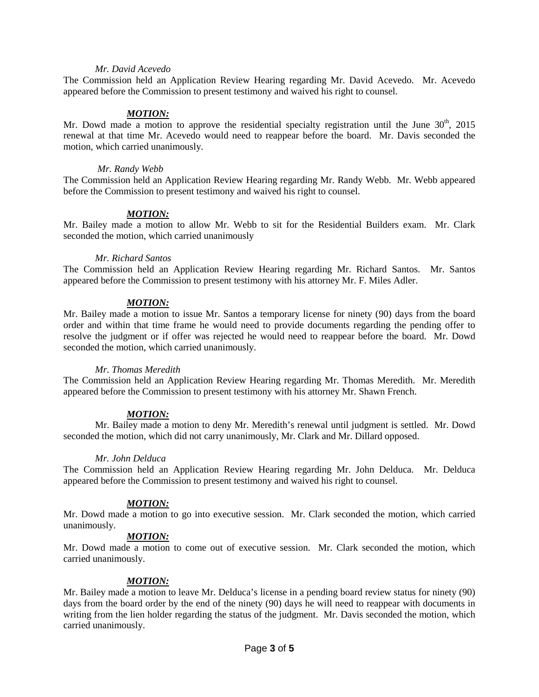### *Mr. David Acevedo*

The Commission held an Application Review Hearing regarding Mr. David Acevedo. Mr. Acevedo appeared before the Commission to present testimony and waived his right to counsel.

### *MOTION:*

Mr. Dowd made a motion to approve the residential specialty registration until the June  $30<sup>th</sup>$ , 2015 renewal at that time Mr. Acevedo would need to reappear before the board. Mr. Davis seconded the motion, which carried unanimously.

#### *Mr. Randy Webb*

The Commission held an Application Review Hearing regarding Mr. Randy Webb. Mr. Webb appeared before the Commission to present testimony and waived his right to counsel.

### *MOTION:*

Mr. Bailey made a motion to allow Mr. Webb to sit for the Residential Builders exam. Mr. Clark seconded the motion, which carried unanimously

### *Mr. Richard Santos*

The Commission held an Application Review Hearing regarding Mr. Richard Santos. Mr. Santos appeared before the Commission to present testimony with his attorney Mr. F. Miles Adler.

### *MOTION:*

Mr. Bailey made a motion to issue Mr. Santos a temporary license for ninety (90) days from the board order and within that time frame he would need to provide documents regarding the pending offer to resolve the judgment or if offer was rejected he would need to reappear before the board. Mr. Dowd seconded the motion, which carried unanimously.

#### *Mr. Thomas Meredith*

The Commission held an Application Review Hearing regarding Mr. Thomas Meredith. Mr. Meredith appeared before the Commission to present testimony with his attorney Mr. Shawn French.

## *MOTION:*

Mr. Bailey made a motion to deny Mr. Meredith's renewal until judgment is settled. Mr. Dowd seconded the motion, which did not carry unanimously, Mr. Clark and Mr. Dillard opposed.

#### *Mr. John Delduca*

The Commission held an Application Review Hearing regarding Mr. John Delduca. Mr. Delduca appeared before the Commission to present testimony and waived his right to counsel.

## *MOTION:*

Mr. Dowd made a motion to go into executive session. Mr. Clark seconded the motion, which carried unanimously.

### *MOTION:*

Mr. Dowd made a motion to come out of executive session. Mr. Clark seconded the motion, which carried unanimously.

## *MOTION:*

Mr. Bailey made a motion to leave Mr. Delduca's license in a pending board review status for ninety (90) days from the board order by the end of the ninety (90) days he will need to reappear with documents in writing from the lien holder regarding the status of the judgment. Mr. Davis seconded the motion, which carried unanimously.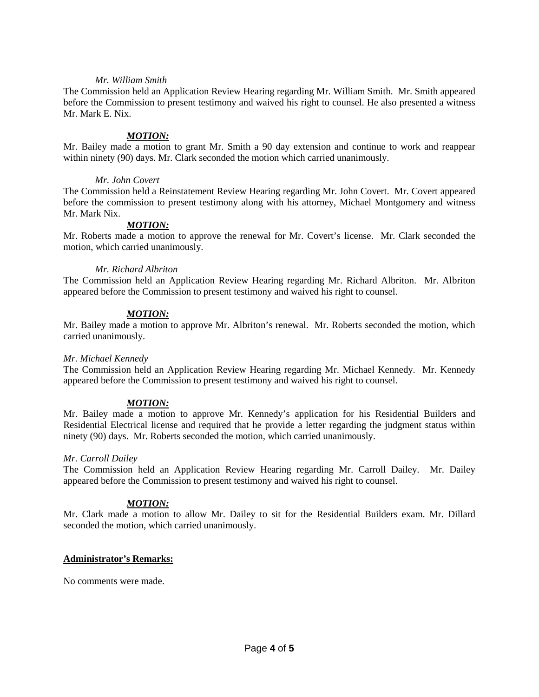### *Mr. William Smith*

The Commission held an Application Review Hearing regarding Mr. William Smith. Mr. Smith appeared before the Commission to present testimony and waived his right to counsel. He also presented a witness Mr. Mark E. Nix.

### *MOTION:*

Mr. Bailey made a motion to grant Mr. Smith a 90 day extension and continue to work and reappear within ninety (90) days. Mr. Clark seconded the motion which carried unanimously.

### *Mr. John Covert*

The Commission held a Reinstatement Review Hearing regarding Mr. John Covert. Mr. Covert appeared before the commission to present testimony along with his attorney, Michael Montgomery and witness Mr. Mark Nix.

## *MOTION:*

Mr. Roberts made a motion to approve the renewal for Mr. Covert's license. Mr. Clark seconded the motion, which carried unanimously.

### *Mr. Richard Albriton*

The Commission held an Application Review Hearing regarding Mr. Richard Albriton. Mr. Albriton appeared before the Commission to present testimony and waived his right to counsel.

### *MOTION:*

Mr. Bailey made a motion to approve Mr. Albriton's renewal. Mr. Roberts seconded the motion, which carried unanimously.

#### *Mr. Michael Kennedy*

The Commission held an Application Review Hearing regarding Mr. Michael Kennedy. Mr. Kennedy appeared before the Commission to present testimony and waived his right to counsel.

## *MOTION:*

Mr. Bailey made a motion to approve Mr. Kennedy's application for his Residential Builders and Residential Electrical license and required that he provide a letter regarding the judgment status within ninety (90) days. Mr. Roberts seconded the motion, which carried unanimously.

#### *Mr. Carroll Dailey*

The Commission held an Application Review Hearing regarding Mr. Carroll Dailey. Mr. Dailey appeared before the Commission to present testimony and waived his right to counsel.

## *MOTION:*

Mr. Clark made a motion to allow Mr. Dailey to sit for the Residential Builders exam. Mr. Dillard seconded the motion, which carried unanimously.

## **Administrator's Remarks:**

No comments were made.